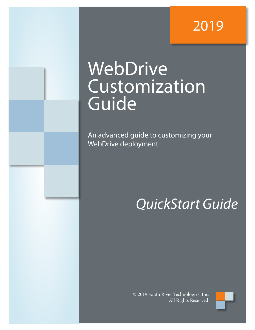# 2019

# WebDrive Customization Guide

An advanced guide to customizing your WebDrive deployment.

# *QuickStart Guide*

© 2019 South River Technologies, Inc. All Rights Reserved

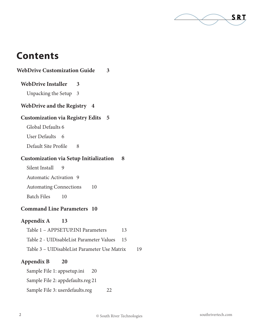

# **Contents**

| 8                                            |    |
|----------------------------------------------|----|
|                                              |    |
|                                              |    |
|                                              |    |
|                                              |    |
|                                              |    |
|                                              |    |
| 13                                           |    |
| 15                                           |    |
| Table 3 - UIDisableList Parameter Use Matrix | 19 |
|                                              |    |

#### **Appendix B 20**

Sample File 1: appsetup.ini 20

Sample File 2: appdefaults.reg 21

Sample File 3: userdefaults.reg 22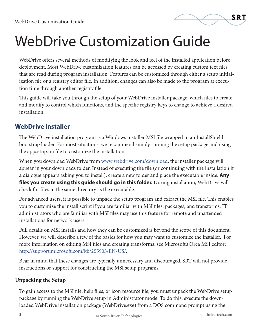

WebDrive offers several methods of modifying the look and feel of the installed application before deployment. Most WebDrive customization features can be accessed by creating custom text files that are read during program installation. Features can be customized through either a setup initialization file or a registry editor file. In addition, changes can also be made to the program at execution time through another registry file.

This guide will take you through the setup of your WebDrive installer package, which files to create and modify to control which functions, and the specific registry keys to change to achieve a desired installation.

## **WebDrive Installer**

The WebDrive installation program is a Windows installer MSI file wrapped in an InstallShield bootstrap loader. For most situations, we recommend simply running the setup package and using the appsetup.ini file to customize the installation.

When you download WebDrive from www.webdrive.com/download, the installer package will appear in your downloads folder. Instead of executing the file (or continuing with the installation if a dialogue appears asking you to install), create a new folder and place the executable inside. **Any files you create using this guide should go in this folder.** During installation, WebDrive will check for files in the same directory as the executable.

For advanced users, it is possible to unpack the setup program and extract the MSI file. This enables you to customize the install script if you are familiar with MSI files, packages, and transforms. IT administrators who are familiar with MSI files may use this feature for remote and unattended installations for network users.

Full details on MSI installs and how they can be customized is beyond the scope of this document. However, we will describe a few of the basics for how you may want to customize the installer. For more information on editing MSI files and creating transforms, see Microsoft's Orca MSI editor: http://support.microsoft.com/kb/255905/EN-US/.

Bear in mind that these changes are typically unnecessary and discouraged. SRT will not provide instructions or support for constructing the MSI setup programs.

#### **Unpacking the Setup**

To gain access to the MSI file, help files, or icon resource file, you must unpack the WebDrive setup package by running the WebDrive setup in Administrator mode. To do this, execute the downloaded WebDrive installation package (WebDrive.exe) from a DOS command prompt using the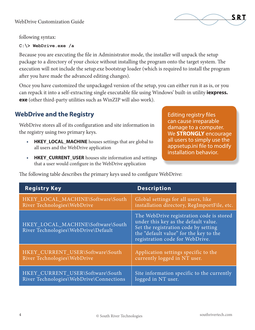

following syntax:

#### **C:\> WebDrive.exe /a**

Because you are executing the file in Administrator mode, the installer will unpack the setup package to a directory of your choice without installing the program onto the target system. The execution will not include the setup.exe bootstrap loader (which is required to install the program after you have made the advanced editing changes).

Once you have customized the unpackaged version of the setup, you can either run it as is, or you can repack it into a self-extracting single executable file using Windows' built-in utility **iexpress. exe** (other third-party utilities such as WinZIP will also work).

## **WebDrive and the Registry**

WebDrive stores all of its configuration and site information in the registry using two primary keys.

- **• HKEY\_LOCAL\_MACHINE** houses settings that are global to all users and the WebDrive application
- **• HKEY\_CURRENT\_USER** houses site information and settings that a user would configure in the WebDrive application

Editing registry files can cause irreparable damage to a computer. We **STRONGLY** encourage all users to simply use the appsetup.ini file to modify installation behavior.

| <b>Registry Key</b>                                                      | <b>Description</b>                                                                                                                                                                                    |
|--------------------------------------------------------------------------|-------------------------------------------------------------------------------------------------------------------------------------------------------------------------------------------------------|
| HKEY_LOCAL_MACHINE\Software\South                                        | Global settings for all users, like                                                                                                                                                                   |
| River Technologies\WebDrive                                              | installation directory, RegImportFile, etc.                                                                                                                                                           |
| HKEY_LOCAL_MACHINE\Software\South<br>River Technologies\WebDrive\Default | The WebDrive registration code is stored<br>under this key as the default value.<br>Set the registration code by setting<br>the "default value" for the key to the<br>registration code for WebDrive. |
| HKEY_CURRENT_USER\Software\South                                         | Application settings specific to the                                                                                                                                                                  |
| River Technologies\WebDrive                                              | currently logged in NT user.                                                                                                                                                                          |
| HKEY_CURRENT_USER\Software\South                                         | Site information specific to the currently                                                                                                                                                            |
| River Technologies\WebDrive\Connections                                  | logged in NT user.                                                                                                                                                                                    |

The following table describes the primary keys used to configure WebDrive: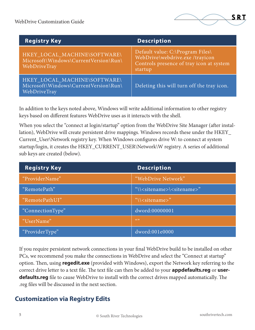

| <b>Registry Key</b>                                                                   | <b>Description</b>                                                                                                         |
|---------------------------------------------------------------------------------------|----------------------------------------------------------------------------------------------------------------------------|
| HKEY_LOCAL_MACHINE\SOFTWARE\<br>Microsoft\Windows\CurrentVersion\Run\<br>WebDriveTray | Default value: C:\Program Files\<br>WebDrive\webdrive.exe /trayicon<br>Controls presence of tray icon at system<br>startup |
| HKEY_LOCAL_MACHINE\SOFTWARE\<br>Microsoft\Windows\CurrentVersion\Run\<br>WebDriveTray | Deleting this will turn off the tray icon.                                                                                 |

In addition to the keys noted above, Windows will write additional information to other registry keys based on different features WebDrive uses as it interacts with the shell.

When you select the "connect at login/startup" option from the WebDrive Site Manager (after installation), WebDrive will create persistent drive mappings. Windows records these under the HKEY\_ Current\_User\Network registry key. When Windows configures drive W: to connect at system startup/login, it creates the HKEY\_CURRENT\_USER\Network\W registry. A series of additional sub keys are created (below).

| <b>Registry Key</b> | <b>Description</b>                               |
|---------------------|--------------------------------------------------|
| "ProviderName"      | "WebDrive Network"                               |
| "RemotePath"        | "\\ <sitename>\<sitename>"</sitename></sitename> |
| "RemotePathUI"      | "\\ <sitename>"</sitename>                       |
| "ConnectionType"    | dword:00000001                                   |
| "UserName"          | (C)                                              |
| "ProviderType"      | dword:001e0000                                   |

If you require persistent network connections in your final WebDrive build to be installed on other PCs, we recommend you make the connections in WebDrive and select the "Connect at startup" option. Then, using **regedit.exe** (provided with Windows), export the Network key referring to the correct drive letter to a text file. The text file can then be added to your **appdefaults.reg** or **userdefaults.reg** file to cause WebDrive to install with the correct drives mapped automatically. The .reg files will be discussed in the next section.

### **Customization via Registry Edits**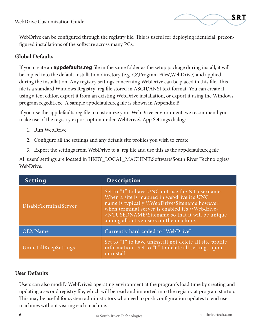

WebDrive can be configured through the registry file. This is useful for deploying identicial, preconfigured installations of the software across many PCs.

#### **Global Defaults**

If you create an **appdefaults.reg** file in the same folder as the setup package during install, it will be copied into the default installation directory (e.g. C:\Program Files\WebDrive) and applied during the installation. Any registry settings concerning WebDrive can be placed in this file. This file is a standard Windows Registry .reg file stored in ASCII/ANSI text format. You can create it using a text editor, export it from an existing WebDrive installation, or export it using the Windows program regedit.exe. A sample appdefaults.reg file is shown in Appendix B.

If you use the appdefaults.reg file to customize your WebDrive environment, we recommend you make use of the registry export option under WebDrive's App Settings dialog:

- 1. Run WebDrive
- 2. Configure all the settings and any default site profiles you wish to create
- 3. Export the settings from WebDrive to a .reg file and use this as the appdefaults.reg file

All users' settings are located in HKEY\_LOCAL\_MACHINE\Software\South River Technologies\ WebDrive.

| <b>Setting</b>        | <b>Description</b>                                                                                                                                                                                                                                                                                                                   |
|-----------------------|--------------------------------------------------------------------------------------------------------------------------------------------------------------------------------------------------------------------------------------------------------------------------------------------------------------------------------------|
| DisableTerminalServer | Set to "1" to have UNC not use the NT username.<br>When a site is mapped in webdrive it's UNC<br>name is typically \\WebDrive\Sitename however<br>when terminal server is enabled it's Webdrive-<br><ntusername\sitename be="" it="" so="" that="" unique<br="" will="">among all active users on the machine.</ntusername\sitename> |
| OEMName               | Currently hard coded to "WebDrive"                                                                                                                                                                                                                                                                                                   |
| UninstallKeepSettings | Set to "1" to have uninstall not delete all site profile<br>information. Set to "0" to delete all settings upon<br>uninstall.                                                                                                                                                                                                        |

#### **User Defaults**

Users can also modify WebDrive's operating environment at the program's load time by creating and updating a second registry file, which will be read and imported into the registry at program startup. This may be useful for system administrators who need to push configuration updates to end user machines without visiting each machine.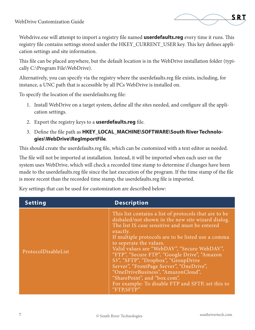

Webdrive.exe will attempt to import a registry file named **userdefaults.reg** every time it runs. This registry file contains settings stored under the HKEY\_CURRENT\_USER key. This key defines application settings and site information.

This file can be placed anywhere, but the default location is in the WebDrive installation folder (typically C:\Program File\WebDrive).

Alternatively, you can specify via the registry where the userdefaults.reg file exists, including, for instance, a UNC path that is accessible by all PCs WebDrive is installed on.

To specify the location of the userdefaults.reg file:

- 1. Install WebDrive on a target system, define all the sites needed, and configure all the application settings.
- 2. Export the registry keys to a **userdefaults.reg** file.
- 3. Define the file path as **HKEY\_LOCAL\_MACHINE\SOFTWARE\South River Technologies\WebDrive\RegImportFile**.

This should create the userdefaults.reg file, which can be customized with a text editor as needed.

The file will not be imported at installation. Instead, it will be imported when each user on the system uses WebDrive, which will check a recorded time stamp to determine if changes have been made to the userdefaults.reg file since the last execution of the program. If the time stamp of the file is more recent than the recorded time stamp, the userdefaults.reg file is imported.

Key settings that can be used for customization are described below:

| <b>Setting</b>      | <b>Description</b>                                                                                                                                                                                                                                                                                                                                                                                                                                                                                                                                                                   |
|---------------------|--------------------------------------------------------------------------------------------------------------------------------------------------------------------------------------------------------------------------------------------------------------------------------------------------------------------------------------------------------------------------------------------------------------------------------------------------------------------------------------------------------------------------------------------------------------------------------------|
| ProtocolDisableList | This list contains a list of protocols that are to be<br>disbaled/not shown in the new site wizard dialog.<br>The list IS case sensitive and must be entered<br>exactly.<br>If multiple protocols are to be listed use a comma<br>to seperate the values.<br>Valid values are "WebDAV", "Secure WebDAV",<br>"FTP", "Secure FTP", "Google Drive", "Amazon"<br>S3", "SFTP", "Dropbox", "GroupDrive<br>Server", "FrontPage Server", "OneDrive",<br>"OneDriveBusiness", "AmazonCloud",<br>"SharePoint", and "box.com".<br>For example: To disable FTP and SFTP, set this to<br>"FTPSFTP" |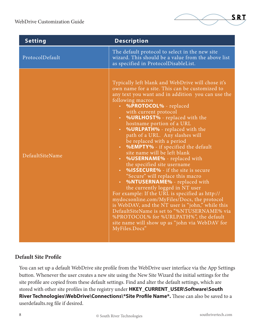

| <b>Setting</b>  | <b>Description</b>                                                                                                                                                                                                                                                                                                                                                                                                                                                                                                                                                                                                                                                                                                                                                                                                                                                                                                                                                                                          |
|-----------------|-------------------------------------------------------------------------------------------------------------------------------------------------------------------------------------------------------------------------------------------------------------------------------------------------------------------------------------------------------------------------------------------------------------------------------------------------------------------------------------------------------------------------------------------------------------------------------------------------------------------------------------------------------------------------------------------------------------------------------------------------------------------------------------------------------------------------------------------------------------------------------------------------------------------------------------------------------------------------------------------------------------|
| ProtocolDefault | The default protocol to select in the new site<br>wizard. This should be a value from the above list<br>as specified in ProtocolDisableList.                                                                                                                                                                                                                                                                                                                                                                                                                                                                                                                                                                                                                                                                                                                                                                                                                                                                |
| DefaultSiteName | Typically left blank and WebDrive will chose it's<br>own name for a site. This can be customized to<br>any text you want and in addition you can use the<br>following macros<br>%PROTOCOL% - replaced<br>with current protocol<br>• %URLHOST% - replaced with the<br>hostname portion of a URL<br>• %URLPATH% - replaced with the<br>path of a URL. Any slashes will<br>be replaced with a period<br>• %EMPTY% - if specified the default<br>site name will be left blank<br>• %USERNAME% - replaced with<br>the specified site username<br>• %ISSECURE% - if the site is secure<br>"Secure" will replace this macro<br>• %NTUSERNAME% - replaced with<br>the currently logged in NT user<br>For example: If the URL is specified as http://<br>mydocsonline.com/MyFiles/Docs, the protocol<br>is WebDAV, and the NT user is "john," while this<br>DefaultSiteName is set to "%NTUSERNAME% via<br>%PROTOCOL% for %URLPATH%", the default<br>site name will show up as "john via WebDAV for<br>MyFiles.Docs" |

#### **Default Site Profile**

You can set up a default WebDrive site profile from the WebDrive user interface via the App Settings button. Whenever the user creates a new site using the New Site Wizard the initial settings for the site profile are copied from these default settings. Find and alter the default settings, which are stored with other site profiles in the registry under **HKEY\_CURRENT\_USER\Software\South River Technologies\WebDrive\Connections\\*Site Profile Name\*.** These can also be saved to a userdefaults.reg file if desired.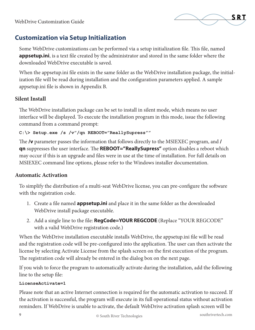

## **Customization via Setup Initialization**

Some WebDrive customizations can be performed via a setup initialization file. This file, named **appsetup.ini**, is a text file created by the administrator and stored in the same folder where the downloaded WebDrive executable is saved.

When the appsetup.ini file exists in the same folder as the WebDrive installation package, the initialization file will be read during installation and the configuration parameters applied. A sample appsetup.ini file is shown in Appendix B.

#### **Silent Install**

The WebDrive installation package can be set to install in silent mode, which means no user interface will be displayed. To execute the installation program in this mode, issue the following command from a command prompt:

#### **C:\> Setup.exe /s /v"/qn REBOOT="ReallySupress""**

The **/v** parameter passes the information that follows directly to the MSIEXEC program, and **/ qn** suppresses the user interface. The **REBOOT="ReallySupress"** option disables a reboot which may occur if this is an upgrade and files were in use at the time of installation. For full details on MSIEXEC command line options, please refer to the Windows installer documentation.

#### **Automatic Activation**

To simplify the distribution of a multi-seat WebDrive license, you can pre-configure the software with the registration code.

- 1. Create a file named **appsetup.ini** and place it in the same folder as the downloaded WebDrive install package executable.
- 2. Add a single line to the file: **RegCode=YOUR REGCODE** (Replace "YOUR REGCODE" with a valid WebDrive registration code.)

When the WebDrive installation executable installs WebDrive, the appsetup.ini file will be read and the registration code will be pre-configured into the application. The user can then activate the license by selecting Activate License from the splash screen on the first execution of the program. The registration code will already be entered in the dialog box on the next page.

If you wish to force the program to automatically activate during the installation, add the following line to the setup file:

#### **LicenseActivate=1**

Please note that an active Internet connection is required for the automatic activation to succeed. If the activation is successful, the program will execute in its full operational status without activation reminders. If WebDrive is unable to activate, the default WebDrive activation splash screen will be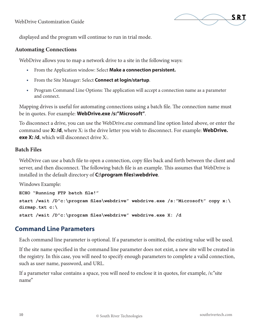

displayed and the program will continue to run in trial mode.

#### **Automating Connections**

WebDrive allows you to map a network drive to a site in the following ways:

- **•** From the Application window: Select **Make a connection persistent.**
- **•** From the Site Manager: Select **Connect at login/startup**.
- **•** Program Command Line Options: The application will accept a connection name as a parameter and connect.

Mapping drives is useful for automating connections using a batch file. The connection name must be in quotes. For example: **WebDrive.exe /s:"Microsoft"**.

To disconnect a drive, you can use the WebDrive.exe command line option listed above, or enter the command use **X: /d**, where X: is the drive letter you wish to disconnect. For example: **WebDrive. exe X: /d**, which will disconnect drive X:.

#### **Batch Files**

WebDrive can use a batch file to open a connection, copy files back and forth between the client and server, and then disconnect. The following batch file is an example. This assumes that WebDrive is installed in the default directory of **C:\program files\webdrive**.

Windows Example:

```
ECHO "Running FTP batch file!"
start /wait /D"c:\program files\webdrive" webdrive.exe /s:"Microsoft" copy x:\
dirmap.txt c:\
start /wait /D"c:\program files\webdrive" webdrive.exe X: /d
```
#### **Command Line Parameters**

Each command line parameter is optional. If a parameter is omitted, the existing value will be used.

If the site name specified in the command line parameter does not exist, a new site will be created in the registry. In this case, you will need to specify enough parameters to complete a valid connection, such as user name, password, and URL.

If a parameter value contains a space, you will need to enclose it in quotes, for example, /s:"site name"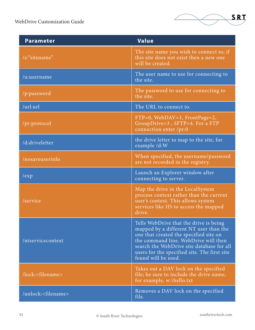

| <b>Parameter</b>               | <b>Value</b>                                                                                                                                                                                                                                                                           |
|--------------------------------|----------------------------------------------------------------------------------------------------------------------------------------------------------------------------------------------------------------------------------------------------------------------------------------|
| /s:"sitename"                  | The site name you wish to connect to; if<br>this site does not exist then a new one<br>will be created.                                                                                                                                                                                |
| /u:username                    | The user name to use for connecting to<br>the site.                                                                                                                                                                                                                                    |
| /p:password                    | The password to use for connecting to<br>the site.                                                                                                                                                                                                                                     |
| /url:url                       | The URL to connect to.                                                                                                                                                                                                                                                                 |
| /pr:protocol                   | $FTP=0$ , WebDAV=1, FrontPage=2,<br>GroupDrive=3, SFTP=4. For a FTP<br>connection enter /pr:0                                                                                                                                                                                          |
| /d:driveletter                 | the drive letter to map to the site, for<br>example /d:W                                                                                                                                                                                                                               |
| /nosaveuserinfo                | When specified, the username/password<br>are not recorded in the registry.                                                                                                                                                                                                             |
| /exp                           | Launch an Explorer window after<br>connecting to server.                                                                                                                                                                                                                               |
| /service                       | Map the drive in the LocalSystem<br>process context rather than the current<br>user's context. This allows system<br>services like IIS to access the mapped<br>drive.                                                                                                                  |
| /ntservicecontext              | Tells WebDrive that the drive is being<br>mapped by a different NT user than the<br>one that created the specified site on<br>the command line. WebDrive will then<br>search the WebDrive site database for all<br>users for the specified site. The first site<br>found will be used. |
| /lock: <filename></filename>   | Takes out a DAV lock on the specified<br>file; be sure to include the drive name,<br>for example, w:\hello.txt                                                                                                                                                                         |
| /unlock: <filename></filename> | Removes a DAV lock on the specified<br>file.                                                                                                                                                                                                                                           |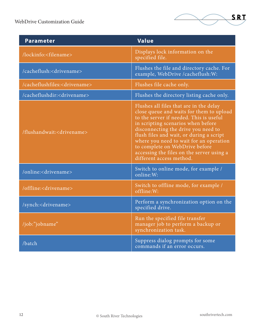

| <b>Parameter</b>                          | <b>Value</b>                                                                                                                                                                                                                                                                                                                                                                                                  |
|-------------------------------------------|---------------------------------------------------------------------------------------------------------------------------------------------------------------------------------------------------------------------------------------------------------------------------------------------------------------------------------------------------------------------------------------------------------------|
| /lockinfo: <filename></filename>          | Displays lock information on the<br>specified file.                                                                                                                                                                                                                                                                                                                                                           |
| /cacheflush: <drivename></drivename>      | Flushes the file and directory cache. For<br>example, WebDrive /cacheflush:W:                                                                                                                                                                                                                                                                                                                                 |
| /cacheflushfiles: <drivename></drivename> | Flushes file cache only.                                                                                                                                                                                                                                                                                                                                                                                      |
| /cacheflushdir: <drivename></drivename>   | Flushes the directory listing cache only.                                                                                                                                                                                                                                                                                                                                                                     |
| /flushandwait: <drivename></drivename>    | Flushes all files that are in the delay<br>close queue and waits for them to upload<br>to the server if needed. This is useful<br>in scripting scenarios when before<br>disconnecting the drive you need to<br>flush files and wait, or during a script<br>where you need to wait for an operation<br>to complete on WebDrive before<br>accessing the files on the server using a<br>different access method. |
| /online: <drivename></drivename>          | Switch to online mode, for example /<br>online:W:                                                                                                                                                                                                                                                                                                                                                             |
| /offline: <drivename></drivename>         | Switch to offline mode, for example /<br>offline:W:                                                                                                                                                                                                                                                                                                                                                           |
| /synch: <drivename></drivename>           | Perform a synchronization option on the<br>specified drive.                                                                                                                                                                                                                                                                                                                                                   |
| /job:"jobname"                            | Run the specified file transfer<br>manager job to perform a backup or<br>synchronization task.                                                                                                                                                                                                                                                                                                                |
| /batch                                    | Suppress dialog prompts for some<br>commands if an error occurs.                                                                                                                                                                                                                                                                                                                                              |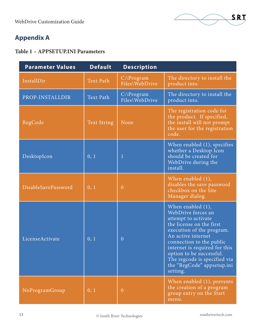

## **Appendix A**

#### **Table 1 – APPSETUP.INI Parameters**

| <b>Parameter Values</b> | <b>Default</b>     | <b>Description</b>              |                                                                                                                                                                                                                                                                                                                     |
|-------------------------|--------------------|---------------------------------|---------------------------------------------------------------------------------------------------------------------------------------------------------------------------------------------------------------------------------------------------------------------------------------------------------------------|
| InstallDir              | <b>Text Path</b>   | $C:\$ Program<br>Files\WebDrive | The directory to install the<br>product into.                                                                                                                                                                                                                                                                       |
| PROP-INSTALLDIR         | <b>Text Path</b>   | $C:\P$ rogram<br>Files\WebDrive | The directory to install the<br>product into.                                                                                                                                                                                                                                                                       |
| RegCode                 | <b>Text String</b> | None                            | The registration code for<br>the product. If specified,<br>the install will not prompt<br>the user for the registration<br>code.                                                                                                                                                                                    |
| DesktopIcon             | 0, 1               | $\mathbf{1}$                    | When enabled $(1)$ , specifies<br>whether a Desktop Icon<br>should be created for<br>WebDrive during the<br>install.                                                                                                                                                                                                |
| DisableSavePassword     | 0, 1               | $\overline{0}$                  | When enabled $(1)$ ,<br>disables the save password<br>checkbox on the Site<br>Manager dialog.                                                                                                                                                                                                                       |
| LicenseActivate         | 0, 1               | $\overline{0}$                  | When enabled $(1)$ ,<br>WebDrive forces an<br>attempt to activate<br>the license on the first<br>execution of the program.<br>An active internet<br>connection to the public<br>internet is required for this<br>option to be successful.<br>The regcode is specified via<br>the "RegCode" appsetup.ini<br>setting. |
| NoProgramGroup          | 0, 1               | $\theta$                        | When enabled $(1)$ , prevents<br>the creation of a program<br>group entry on the Start<br>menu.                                                                                                                                                                                                                     |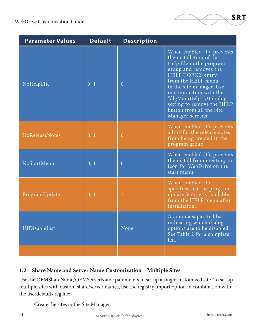| <b>Parameter Values</b> | <b>Default</b> | <b>Description</b> |                                                                                                                                                                                                                                                                                                                          |
|-------------------------|----------------|--------------------|--------------------------------------------------------------------------------------------------------------------------------------------------------------------------------------------------------------------------------------------------------------------------------------------------------------------------|
| NoHelpFile              | 0, 1           | $\overline{0}$     | When enabled $(1)$ , prevents<br>the installation of the<br>Help file in the program<br>group and removes the<br>HELP TOPICS entry<br>from the HELP menu<br>in the site manager. Use<br>in conjunction with the<br>"dlgMainHelp" UI dialog<br>setting to remove the HELP<br>button from all the Site<br>Manager screens. |
| NoReleaseNotes          | 0, 1           | $\overline{0}$     | When enabled $(1)$ , prevents<br>a link for the release notes<br>from being created in the<br>program group.                                                                                                                                                                                                             |
| NoStartMenu             | 0, 1           | $\overline{0}$     | When enabled $(1)$ , prevents<br>the install from creating an<br>icon for WebDrive on the<br>start menu.                                                                                                                                                                                                                 |
| ProgramUpdate           | 0, 1           |                    | When enabled $(1)$ ,<br>specifies that the program<br>update feature is available<br>from the HELP menu after<br>installation.                                                                                                                                                                                           |
| UIDisableList           |                | None               | A comma separated list<br>indicating which dialog<br>options are to be disabled.<br>See Table 2 for a complete<br>list.                                                                                                                                                                                                  |
|                         |                |                    |                                                                                                                                                                                                                                                                                                                          |

#### **1.2 – Share Name and Server Name Customization – Multiple Sites**

Use the OEMShareName/OEMServerName parameters to set up a single customized site. To set up multiple sites with custom share/server names, use the registry import option in combination with the userdefaults.reg file:

1. Create the sites in the Site Manager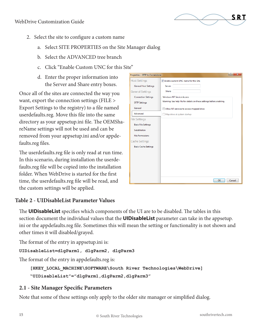

- 2. Select the site to configure a custom name
	- a. Select SITE PROPERTIES on the Site Manager dialog
	- b. Select the ADVANCED tree branch
	- c. Click "Enable Custom UNC for this Site"
	- d. Enter the proper information into the Server and Share entry boxes.

Once all of the sites are connected the way you want, export the connection settings (FILE > Export Settings to the registry) to a file named userdefaults.reg. Move this file into the same directory as your appsetup.ini file. The OEMShareName settings will not be used and can be removed from your appsetup.ini and/or appdefaults.reg files.

The userdefaults.reg file is only read at run time. In this scenario, during installation the userdefaults.reg file will be copied into the installation folder. When WebDrive is started for the first time, the userdefaults.reg file will be read, and the custom settings will be applied.

| Properties - SFTP to Cornerstone |                                                                       | -9<br>x |
|----------------------------------|-----------------------------------------------------------------------|---------|
| <b>Host Settings</b>             | T Enable custom UNC name for this Site                                |         |
| <b>General Host Settings</b>     | Server:                                                               |         |
| <b>General Settings</b>          | Share:                                                                |         |
| <b>Connection Settings</b>       | <b>Windows NT Service Access</b>                                      |         |
| <b>SFTP Settings</b>             | Warning: See help file for details on these settings before enabling. |         |
| General                          | Allow NT services to access mapped drive                              |         |
| Advanced                         | Map drive at system startup                                           |         |
| <b>File Settings</b>             |                                                                       |         |
| <b>Basic File Settings</b>       |                                                                       |         |
| Substitution                     |                                                                       |         |
| <b>File Permissions</b>          |                                                                       |         |
| Cache Settings                   |                                                                       |         |
| <b>Basic Cache Settings</b>      |                                                                       |         |
|                                  |                                                                       |         |
|                                  |                                                                       |         |
|                                  |                                                                       |         |
|                                  |                                                                       |         |
|                                  |                                                                       |         |
|                                  | OK                                                                    | Cancel  |

#### **Table 2 - UIDisableList Parameter Values**

The **UIDisableList** specifies which components of the UI are to be disabled. The tables in this section document the individual values that the **UIDisableList** parameter can take in the appsetup. ini or the appdefaults.reg file. Sometimes this will mean the setting or functionality is not shown and other times it will disabled/grayed.

The format of the entry in appsetup.ini is:

**UIDisableList=dlgParm1, dlgParm2, dlgParm3**

The format of the entry in appdefaults.reg is:

```
[HKEY_LOCAL_MACHINE\SOFTWARE\South River Technologies\WebDrive]
"UIDisableList"="dlgParm1,dlgParm2,dlgParm3"
```
#### **2.1 - Site Manager Specific Parameters**

Note that some of these settings only apply to the older site manager or simplified dialog.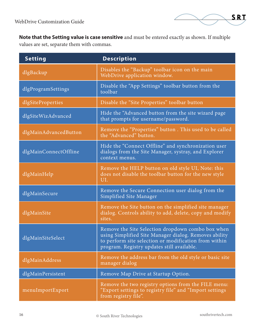

**Note that the Setting value is case sensitive** and must be entered exactly as shown. If multiple values are set, separate them with commas.

| <b>Setting</b>        | <b>Description</b>                                                                                                                                                                                                |
|-----------------------|-------------------------------------------------------------------------------------------------------------------------------------------------------------------------------------------------------------------|
| dlgBackup             | Disables the "Backup" toolbar icon on the main<br>WebDrive application window.                                                                                                                                    |
| dlgProgramSettings    | Disable the "App Settings" toolbar button from the<br>toolbar                                                                                                                                                     |
| dlgSiteProperties     | Disable the "Site Properties" toolbar button                                                                                                                                                                      |
| dlgSiteWizAdvanced    | Hide the "Advanced button from the site wizard page<br>that prompts for username/password.                                                                                                                        |
| dlgMainAdvancedButton | Remove the "Properties" button. This used to be called<br>the "Advanced" button.                                                                                                                                  |
| dlgMainConnectOffline | Hide the "Connect Offline" and synchronization user<br>dialogs from the Site Manager, systray, and Explorer<br>context menus.                                                                                     |
| dlgMainHelp           | Remove the HELP button on old style UI, Note: this<br>does not disable the toolbar button for the new style<br>UI.                                                                                                |
| dlgMainSecure         | Remove the Secure Connection user dialog from the<br>Simplified Site Manager                                                                                                                                      |
| dlgMainSite           | Remove the Site button on the simplified site manager<br>dialog. Controls ability to add, delete, copy and modify<br>sites.                                                                                       |
| dlgMainSiteSelect     | Remove the Site Selection dropdown combo box when<br>using Simplified Site Manager dialog. Removes ability<br>to perform site selection or modification from within<br>program. Registry updates still available. |
| dlgMainAddress        | Remove the address bar from the old style or basic site<br>manager dialog                                                                                                                                         |
| dlgMainPersistent     | Remove Map Drive at Startup Option.                                                                                                                                                                               |
| menuImportExport      | Remove the two registry options from the FILE menu:<br>"Export settings to registry file" and "Import settings<br>from registry file".                                                                            |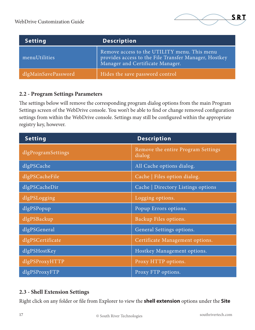

| <b>Setting</b>      | <b>Description</b>                                                                                                                        |
|---------------------|-------------------------------------------------------------------------------------------------------------------------------------------|
| menuUtilities       | Remove access to the UTILITY menu. This menu<br>provides access to the File Transfer Manager, Hostkey<br>Manager and Certificate Manager. |
| dlgMainSavePassword | Hides the save password control                                                                                                           |

#### **2.2 - Program Settings Parameters**

The settings below will remove the corresponding program dialog options from the main Program Settings screen of the WebDrive console. You won't be able to find or change removed configuration settings from within the WebDrive console. Settings may still be configured within the appropriate registry key, however.

| <b>Setting</b>     | <b>Description</b>                           |
|--------------------|----------------------------------------------|
| dlgProgramSettings | Remove the entire Program Settings<br>dialog |
| dlgPSCache         | All Cache options dialog.                    |
| dlgPSCacheFile     | Cache   Files option dialog.                 |
| dlgPSCacheDir      | Cache   Directory Listings options           |
| dlgPSLogging       | Logging options.                             |
| dlgPSPopup         | Popup Errors options.                        |
| dlgPSBackup        | Backup Files options.                        |
| dlgPSGeneral       | General Settings options.                    |
| dlgPSCertificate   | Certificate Management options.              |
| dlgPSHostKey       | Hostkey Management options.                  |
| dlgPSProxyHTTP     | Proxy HTTP options.                          |
| dlgPSProxyFTP      | Proxy FTP options.                           |

#### **2.3 - Shell Extension Settings**

Right click on any folder or file from Explorer to view the **shell extension** options under the **Site**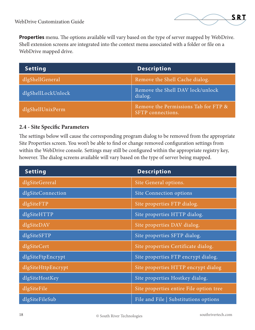

**Properties** menu. The options available will vary based on the type of server mapped by WebDrive. Shell extension screens are integrated into the context menu associated with a folder or file on a WebDrive mapped drive.

| <b>Setting</b>     | <b>Description</b>                                        |
|--------------------|-----------------------------------------------------------|
| dlgShellGeneral    | Remove the Shell Cache dialog.                            |
| dlgShellLockUnlock | Remove the Shell DAV lock/unlock<br>dialog.               |
| dlgShellUnixPerm   | Remove the Permissions Tab for FTP &<br>SFTP connections. |

#### **2.4 - Site Specific Parameters**

The settings below will cause the corresponding program dialog to be removed from the appropriate Site Properties screen. You won't be able to find or change removed configuration settings from within the WebDrive console. Settings may still be configured within the appropriate registry key, however. The dialog screens available will vary based on the type of server being mapped.

| <b>Setting</b>                           | <b>Description</b>                      |
|------------------------------------------|-----------------------------------------|
| dlgSiteGereral                           | Site General options.                   |
| dlgSiteConnection                        | Site Connection options                 |
| dlgSiteFTP                               | Site properties FTP dialog.             |
| $\overline{dlg}$ Site $\overline{HT}$ TP | Site properties HTTP dialog.            |
| dlgSiteDAV                               | Site properties DAV dialog.             |
| dlgSiteSFTP                              | Site properties SFTP dialog.            |
| dlgSiteCert                              | Site properties Certificate dialog.     |
| dlgSiteFtpEncrypt                        | Site properties FTP encrypt dialog.     |
| dlgSiteHttpEncrypt                       | Site properties HTTP encrypt dialog     |
| dlgSiteHostKey                           | Site properties Hostkey dialog.         |
| dlgSiteFile                              | Site properties entire File option tree |
| dlgSiteFileSub                           | File and File   Substitutions options   |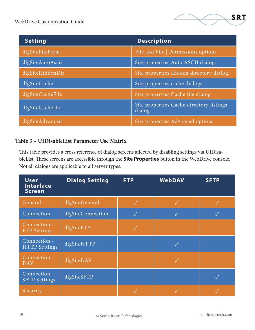| <b>Setting</b>   | <b>Description</b>                                  |
|------------------|-----------------------------------------------------|
| dlgSiteFilePerm  | File and File   Permissions options                 |
| dlgSiteAutoAscii | Site properties Auto ASCII dialog.                  |
| dlgSiteHiddenDir | Site properties Hidden directory dialog.            |
| dlgSiteCache     | Site properties cache dialogs                       |
| dlgSiteCacheFile | Site properties Cache file dialog                   |
| dlgSiteCacheDir  | Site properties Cache directory listings<br>dialog. |
| dlgSiteAdvanced  | Site properties Advanced options                    |

#### **Table 3 – UIDisableList Parameter Use Matrix**

This table provides a cross reference of dialog screens affected by disabling settings via UIDisableList. These screens are accessible through the **Site Properties** button in the WebDrive console. Not all dialogs are applicable to all server types.

| <b>User</b><br>Interface<br><b>Screen</b> | <b>Dialog Setting</b> | <b>FTP</b>   | <b>WebDAV</b> | <b>SFTP</b> |
|-------------------------------------------|-----------------------|--------------|---------------|-------------|
| General                                   | dlgSiteGeneral        |              |               |             |
| Connection                                | dlgSiteConnection     | $\checkmark$ | $\checkmark$  |             |
| Connection -<br><b>FTP</b> Settings       | dlgSiteFTP            | $\sqrt{}$    |               |             |
| Connection -<br><b>HTTP Settings</b>      | dlgSiteHTTP           |              | $\checkmark$  |             |
| Connection -<br><b>DAV</b>                | dlgSiteDAV            |              |               |             |
| Connection -<br><b>SFTP Settings</b>      | dlgSiteSFTP           |              |               |             |
| Security                                  |                       |              |               |             |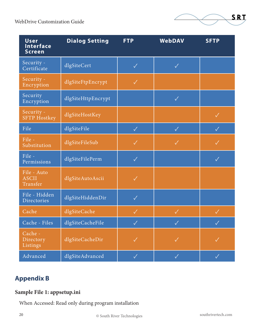

| <b>User</b><br><b>Interface</b><br><b>Screen</b> | <b>Dialog Setting</b> | <b>FTP</b>   | WebDAV             | <b>SFTP</b>  |
|--------------------------------------------------|-----------------------|--------------|--------------------|--------------|
| Security -<br>Certificate                        | dlgSiteCert           | $\checkmark$ | $\checkmark$       |              |
| Security -<br>Encryption                         | dlgSiteFtpEncrypt     | $\checkmark$ |                    |              |
| Security<br>Encryption                           | dlgSiteHttpEncrypt    |              | $\checkmark$       |              |
| Security -<br><b>SFTP Hostkey</b>                | dlgSiteHostKey        |              |                    | $\checkmark$ |
| File                                             | dlgSiteFile           | $\checkmark$ | $\checkmark$       | $\checkmark$ |
| File -<br>Substitution                           | dlgSiteFileSub        | $\checkmark$ | $\checkmark$       | $\checkmark$ |
| File -<br>Permissions                            | dlgSiteFilePerm       | $\checkmark$ |                    | $\checkmark$ |
| File - Auto<br><b>ASCII</b><br>Transfer          | dlgSiteAutoAscii      | $\checkmark$ |                    |              |
| File - Hidden<br>Directories                     | dlgSiteHiddenDir      | $\checkmark$ |                    |              |
| Cache                                            | dlgSiteCache          | $\checkmark$ | $\checkmark$       | $\checkmark$ |
| Cache - Files                                    | dlgSiteCacheFile      | V            | $\bigtriangledown$ | $\checkmark$ |
| Cache -<br>Directory<br>Listings                 | dlgSiteCacheDir       | $\checkmark$ | $\checkmark$       | $\checkmark$ |
| Advanced                                         | dlgSiteAdvanced       | $\checkmark$ | $\checkmark$       | $\checkmark$ |

## **Appendix B**

### **Sample File 1: appsetup.ini**

When Accessed: Read only during program installation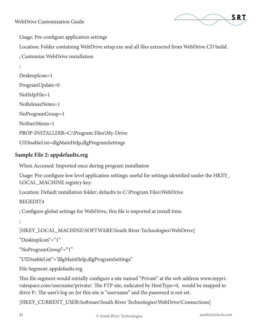

Usage: Pre-configure application settings

Location: Folder containing WebDrive setup.exe and all files extracted from WebDrive CD build.

; Customize WebDrive installation

```
;
DesktopIcon=1
ProgramUpdate=0
NoHelpFile=1
NoReleaseNotes=1
NoProgramGroup=1
NoStartMenu=1
PROP-INSTALLDIR=C:\Program Files\My-Drive
UIDisableList=dlgMainHelp,dlgProgramSettings
```
#### **Sample File 2: appdefaults.reg**

When Accessed: Imported once during program installation

Usage: Pre-configure low level application settings; useful for settings identified under the HKEY\_ LOCAL\_MACHINE registry key.

Location: Default installation folder; defaults to C:\Program Files\WebDrive

REGEDIT4

; Configure global settings for WebDrive, this file is imported at install time.

;

[HKEY\_LOCAL\_MACHINE\SOFTWARE\South River Technologies\WebDrive]

"DesktopIcon"="1"

"NoProgramGroup"="1"

"UIDisableList"="dlgMainHelp,dlgProgramSettings"

File Segment: appdefaults.reg

This file segment would initially configure a site named "Private" at the web address www.myprivatespace.com/username/private/. The FTP site, indicated by HostType=0, would be mapped to drive P:. The user's log on for this site is "username" and the password is not set.

[HKEY\_CURRENT\_USER\Software\South River Technologies\WebDrive\Connections]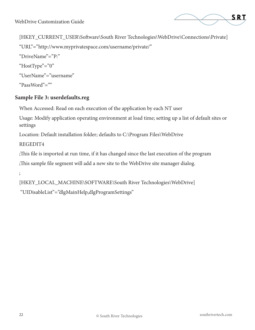

[HKEY\_CURRENT\_USER\Software\South River Technologies\WebDrive\Connections\Private] "URL"="http://www.myprivatespace.com/username/private/" "DriveName"="P:" "HostType"="0" "UserName"="username" "PassWord"=""

#### **Sample File 3: userdefaults.reg**

When Accessed: Read on each execution of the application by each NT user

Usage: Modify application operating environment at load time; setting up a list of default sites or settings

Location: Default installation folder; defaults to C:\Program Files\WebDrive

REGEDIT4

;This file is imported at run time, if it has changed since the last execution of the program

;This sample file segment will add a new site to the WebDrive site manager dialog.

;

[HKEY\_LOCAL\_MACHINE\SOFTWARE\South River Technologies\WebDrive] "UIDisableList"="dlgMainHelp,dlgProgramSettings"